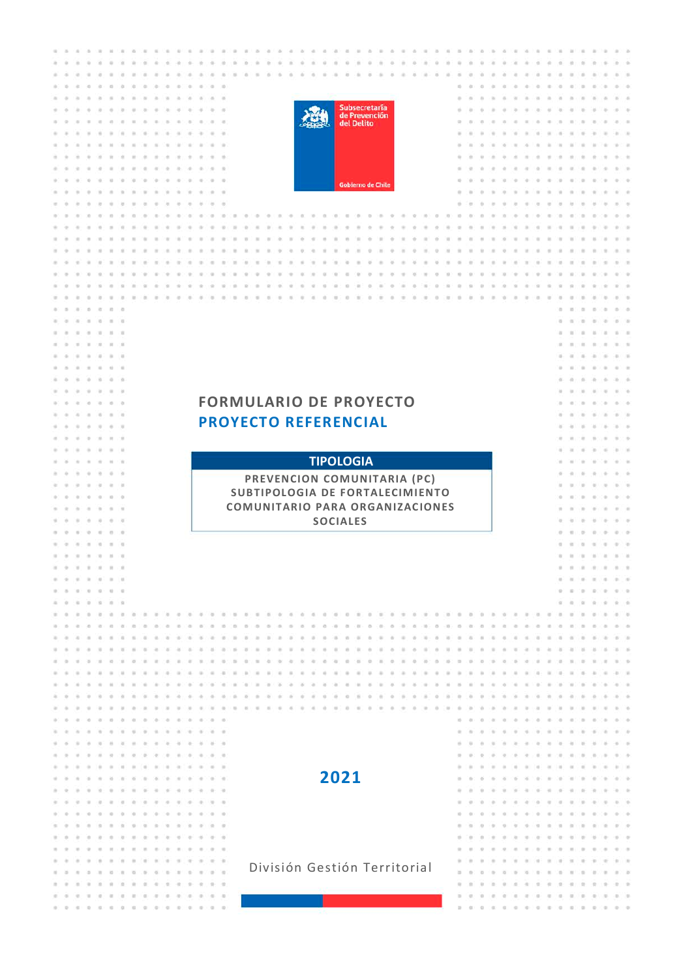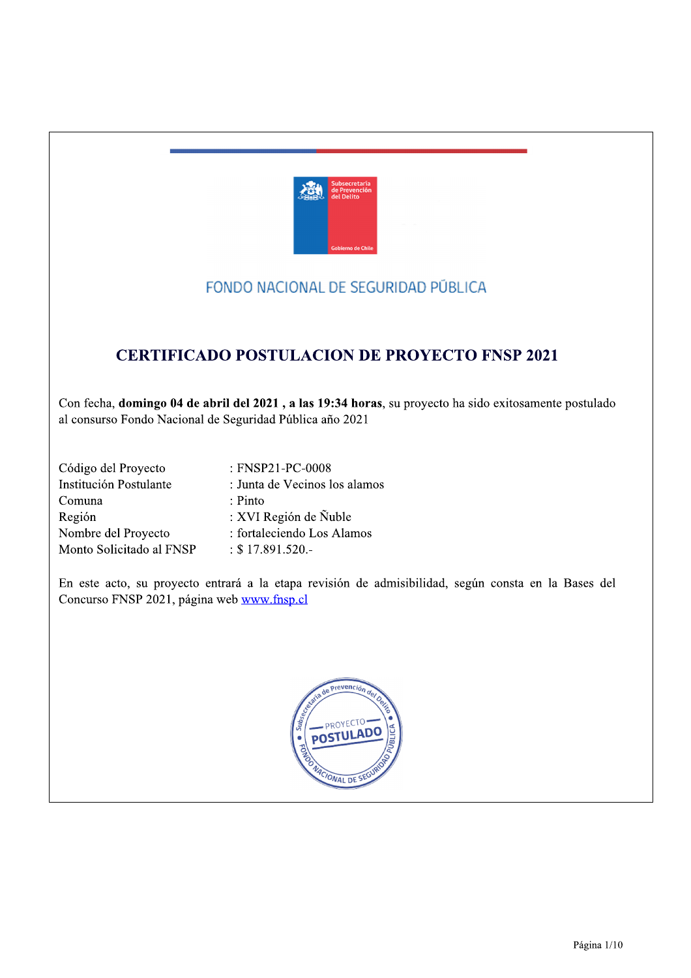

# FONDO NACIONAL DE SEGURIDAD PÚBLICA

# **CERTIFICADO POSTULACION DE PROYECTO FNSP 2021**

Con fecha, domingo 04 de abril del 2021, a las 19:34 horas, su proyecto ha sido exitosamente postulado al consurso Fondo Nacional de Seguridad Pública año 2021

| Código del Proyecto      | : FNSP21-PC-0008              |
|--------------------------|-------------------------------|
| Institución Postulante   | : Junta de Vecinos los alamos |
| Comuna                   | $: P$ into                    |
| Región                   | : XVI Región de Ñuble         |
| Nombre del Proyecto      | : fortaleciendo Los Alamos    |
| Monto Solicitado al FNSP | $: $17.891.520. -$            |

En este acto, su proyecto entrará a la etapa revisión de admisibilidad, según consta en la Bases del Concurso FNSP 2021, página web www.fnsp.cl

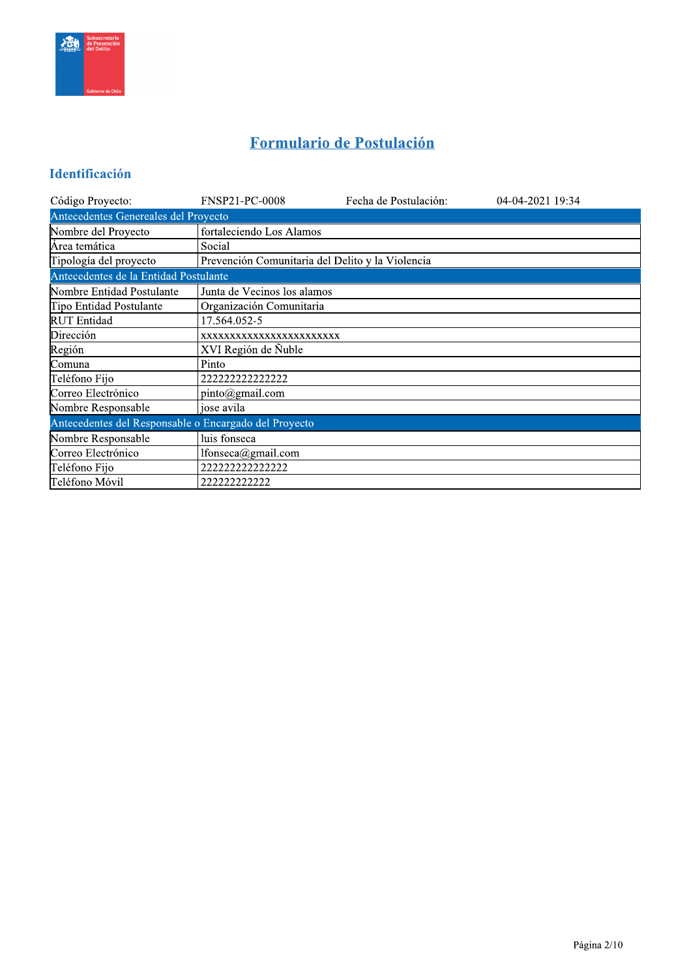

# Formulario de Postulación

# Identificación

| Código Proyecto:                                      | <b>FNSP21-PC-0008</b>                            | Fecha de Postulación: | 04-04-2021 19:34 |  |  |  |  |  |
|-------------------------------------------------------|--------------------------------------------------|-----------------------|------------------|--|--|--|--|--|
| Antecedentes Genereales del Proyecto                  |                                                  |                       |                  |  |  |  |  |  |
| Nombre del Proyecto                                   | fortaleciendo Los Alamos                         |                       |                  |  |  |  |  |  |
| Área temática                                         | Social                                           |                       |                  |  |  |  |  |  |
| Tipología del proyecto                                | Prevención Comunitaria del Delito y la Violencia |                       |                  |  |  |  |  |  |
| Antecedentes de la Entidad Postulante                 |                                                  |                       |                  |  |  |  |  |  |
| Nombre Entidad Postulante                             | Junta de Vecinos los alamos                      |                       |                  |  |  |  |  |  |
| Tipo Entidad Postulante                               | Organización Comunitaria                         |                       |                  |  |  |  |  |  |
| <b>RUT</b> Entidad                                    | 17.564.052-5                                     |                       |                  |  |  |  |  |  |
| Dirección                                             | XXXXXXXXXXXXXXXXXXXXXXXX                         |                       |                  |  |  |  |  |  |
| Región                                                | XVI Región de Ñuble                              |                       |                  |  |  |  |  |  |
| Comuna                                                | Pinto                                            |                       |                  |  |  |  |  |  |
| Teléfono Fijo                                         | 222222222222222                                  |                       |                  |  |  |  |  |  |
| Correo Electrónico                                    | pinto@gmail.com                                  |                       |                  |  |  |  |  |  |
| Nombre Responsable                                    | jose avila                                       |                       |                  |  |  |  |  |  |
| Antecedentes del Responsable o Encargado del Proyecto |                                                  |                       |                  |  |  |  |  |  |
| Nombre Responsable                                    | luis fonseca                                     |                       |                  |  |  |  |  |  |
| Correo Electrónico                                    | lfonseca@gmail.com                               |                       |                  |  |  |  |  |  |
| Teléfono Fijo                                         | 222222222222222                                  |                       |                  |  |  |  |  |  |
| Teléfono Móvil                                        | 222222222222                                     |                       |                  |  |  |  |  |  |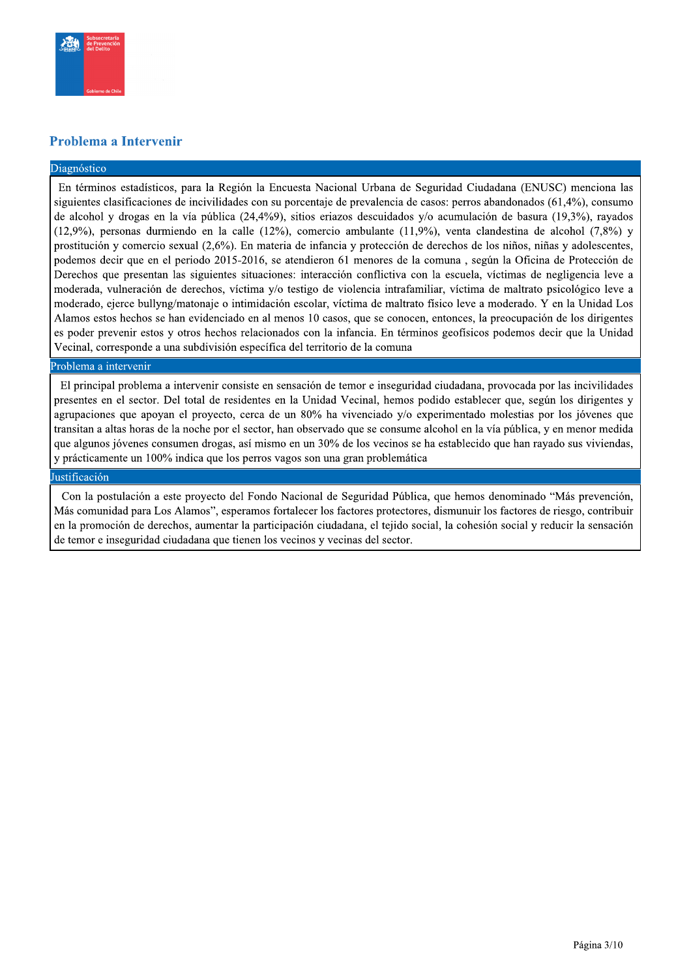

### Problema a Intervenir

#### Diagnóstico

En términos estadísticos, para la Región la Encuesta Nacional Urbana de Seguridad Ciudadana (ENUSC) menciona las siguientes clasificaciones de incivilidades con su porcentaje de prevalencia de casos: perros abandonados (61,4%), consumo de alcohol y drogas en la vía pública (24,4%9), sitios eriazos descuidados y/o acumulación de basura (19,3%), rayados  $(12,9\%)$ , personas durmiendo en la calle  $(12\%)$ , comercio ambulante  $(11,9\%)$ , venta clandestina de alcohol  $(7,8\%)$  y prostitución y comercio sexual (2,6%). En materia de infancia y protección de derechos de los niños, niñas y adolescentes, podemos decir que en el periodo 2015-2016, se atendieron 61 menores de la comuna, según la Oficina de Protección de Derechos que presentan las siguientes situaciones: interacción conflictiva con la escuela, víctimas de negligencia leve a moderada, vulneración de derechos, víctima y/o testigo de violencia intrafamiliar, víctima de maltrato psicológico leve a moderado, ejerce bullyng/matonaje o intimidación escolar, víctima de maltrato físico leve a moderado. Y en la Unidad Los Alamos estos hechos se han evidenciado en al menos 10 casos, que se conocen, entonces, la preocupación de los dirigentes es poder prevenir estos y otros hechos relacionados con la infancia. En términos geofísicos podemos decir que la Unidad Vecinal, corresponde a una subdivisión específica del territorio de la comuna

#### Problema a intervenir

El principal problema a intervenir consiste en sensación de temor e inseguridad ciudadana, provocada por las incivilidades presentes en el sector. Del total de residentes en la Unidad Vecinal, hemos podido establecer que, según los dirigentes y agrupaciones que apoyan el proyecto, cerca de un 80% ha vivenciado y/o experimentado molestias por los jóvenes que transitan a altas horas de la noche por el sector, han observado que se consume alcohol en la vía pública, y en menor medida que algunos jóvenes consumen drogas, así mismo en un 30% de los vecinos se ha establecido que han rayado sus viviendas, y prácticamente un 100% indica que los perros vagos son una gran problemática

#### Justificación

Con la postulación a este proyecto del Fondo Nacional de Seguridad Pública, que hemos denominado "Más prevención, Más comunidad para Los Alamos", esperamos fortalecer los factores protectores, dismunuir los factores de riesgo, contribuir en la promoción de derechos, aumentar la participación ciudadana, el tejido social, la cohesión social y reducir la sensación de temor e inseguridad ciudadana que tienen los vecinos y vecinas del sector.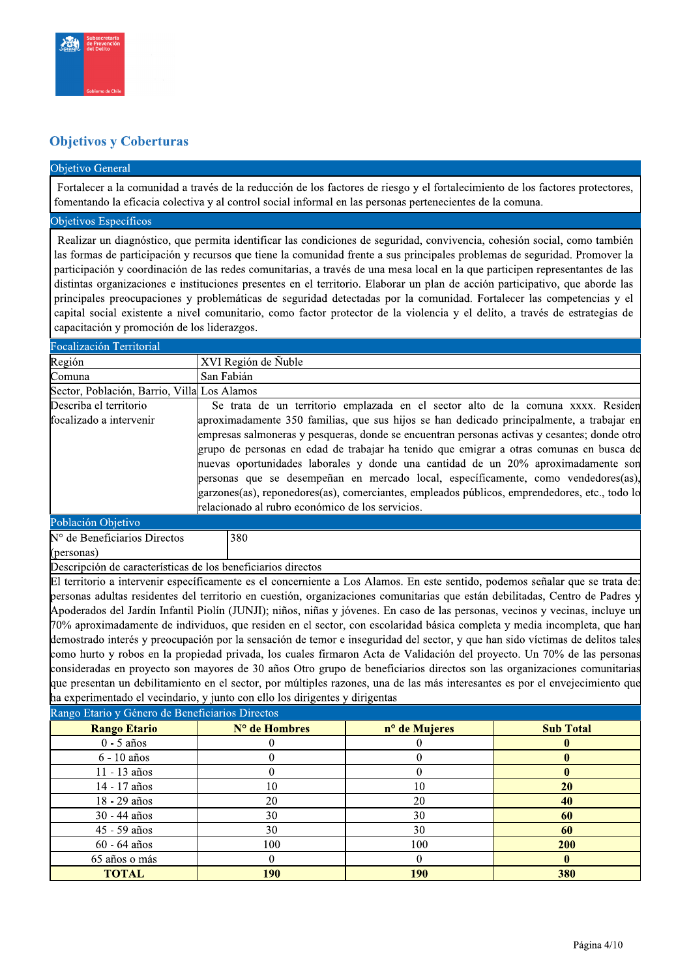

## **Objetivos y Coberturas**

**TOTAL** 

#### Objetivo General

Fortalecer a la comunidad a través de la reducción de los factores de riesgo y el fortalecimiento de los factores protectores, fomentando la eficacia colectiva y al control social informal en las personas pertenecientes de la comuna.

### Objetivos Específicos

Realizar un diagnóstico, que permita identificar las condiciones de seguridad, convivencia, cohesión social, como también las formas de participación y recursos que tiene la comunidad frente a sus principales problemas de seguridad. Promover la participación y coordinación de las redes comunitarias, a través de una mesa local en la que participen representantes de las distintas organizaciones e instituciones presentes en el territorio. Elaborar un plan de acción participativo, que aborde las principales preocupaciones y problemáticas de seguridad detectadas por la comunidad. Fortalecer las competencias y el capital social existente a nivel comunitario, como factor protector de la violencia y el delito, a través de estrategias de capacitación y promoción de los liderazgos.

| Focalización Territorial                                                     |                                                                                              |                                                  |                  |                                                                                                                                |  |  |  |  |  |  |
|------------------------------------------------------------------------------|----------------------------------------------------------------------------------------------|--------------------------------------------------|------------------|--------------------------------------------------------------------------------------------------------------------------------|--|--|--|--|--|--|
| Región                                                                       |                                                                                              | XVI Región de Ñuble                              |                  |                                                                                                                                |  |  |  |  |  |  |
| Comuna                                                                       |                                                                                              | San Fabián                                       |                  |                                                                                                                                |  |  |  |  |  |  |
| Sector, Población, Barrio, Villa Los Alamos                                  |                                                                                              |                                                  |                  |                                                                                                                                |  |  |  |  |  |  |
| Describa el territorio                                                       |                                                                                              |                                                  |                  | Se trata de un territorio emplazada en el sector alto de la comuna xxxx. Residen                                               |  |  |  |  |  |  |
| focalizado a intervenir                                                      |                                                                                              |                                                  |                  | aproximadamente 350 familias, que sus hijos se han dedicado principalmente, a trabajar en                                      |  |  |  |  |  |  |
|                                                                              | empresas salmoneras y pesqueras, donde se encuentran personas activas y cesantes; donde otro |                                                  |                  |                                                                                                                                |  |  |  |  |  |  |
|                                                                              |                                                                                              |                                                  |                  | grupo de personas en edad de trabajar ha tenido que emigrar a otras comunas en busca de                                        |  |  |  |  |  |  |
|                                                                              |                                                                                              |                                                  |                  | nuevas oportunidades laborales y donde una cantidad de un 20% aproximadamente son                                              |  |  |  |  |  |  |
|                                                                              |                                                                                              |                                                  |                  | personas que se desempeñan en mercado local, específicamente, como vendedores(as),                                             |  |  |  |  |  |  |
|                                                                              |                                                                                              |                                                  |                  | garzones(as), reponedores(as), comerciantes, empleados públicos, emprendedores, etc., todo lo                                  |  |  |  |  |  |  |
|                                                                              |                                                                                              | relacionado al rubro económico de los servicios. |                  |                                                                                                                                |  |  |  |  |  |  |
| Población Objetivo                                                           |                                                                                              |                                                  |                  |                                                                                                                                |  |  |  |  |  |  |
| N° de Beneficiarios Directos                                                 |                                                                                              | 380                                              |                  |                                                                                                                                |  |  |  |  |  |  |
| (personas)                                                                   |                                                                                              |                                                  |                  |                                                                                                                                |  |  |  |  |  |  |
| Descripción de características de los beneficiarios directos                 |                                                                                              |                                                  |                  |                                                                                                                                |  |  |  |  |  |  |
|                                                                              |                                                                                              |                                                  |                  | El territorio a intervenir específicamente es el concerniente a Los Alamos. En este sentido, podemos señalar que se trata de:  |  |  |  |  |  |  |
|                                                                              |                                                                                              |                                                  |                  | personas adultas residentes del territorio en cuestión, organizaciones comunitarias que están debilitadas, Centro de Padres y  |  |  |  |  |  |  |
|                                                                              |                                                                                              |                                                  |                  | Apoderados del Jardín Infantil Piolín (JUNJI); niños, niñas y jóvenes. En caso de las personas, vecinos y vecinas, incluye un  |  |  |  |  |  |  |
|                                                                              |                                                                                              |                                                  |                  | 70% aproximadamente de individuos, que residen en el sector, con escolaridad básica completa y media incompleta, que han       |  |  |  |  |  |  |
|                                                                              |                                                                                              |                                                  |                  | demostrado interés y preocupación por la sensación de temor e inseguridad del sector, y que han sido víctimas de delitos tales |  |  |  |  |  |  |
|                                                                              |                                                                                              |                                                  |                  | como hurto y robos en la propiedad privada, los cuales firmaron Acta de Validación del proyecto. Un 70% de las personas        |  |  |  |  |  |  |
|                                                                              |                                                                                              |                                                  |                  | consideradas en proyecto son mayores de 30 años Otro grupo de beneficiarios directos son las organizaciones comunitarias       |  |  |  |  |  |  |
|                                                                              |                                                                                              |                                                  |                  | que presentan un debilitamiento en el sector, por múltiples razones, una de las más interesantes es por el envejecimiento que  |  |  |  |  |  |  |
| ha experimentado el vecindario, y junto con ello los dirigentes y dirigentas |                                                                                              |                                                  |                  |                                                                                                                                |  |  |  |  |  |  |
| Rango Etario y Género de Beneficiarios Directos                              |                                                                                              |                                                  |                  |                                                                                                                                |  |  |  |  |  |  |
| <b>Rango Etario</b>                                                          |                                                                                              | N° de Hombres                                    | n° de Mujeres    | <b>Sub Total</b>                                                                                                               |  |  |  |  |  |  |
| $0 - 5$ años                                                                 |                                                                                              | $\theta$                                         | $\boldsymbol{0}$ | $\bf{0}$                                                                                                                       |  |  |  |  |  |  |
| 6 - 10 años                                                                  |                                                                                              | $\overline{0}$                                   | $\mathbf{0}$     | $\bf{0}$                                                                                                                       |  |  |  |  |  |  |
| 11 - 13 años                                                                 |                                                                                              | $\boldsymbol{0}$                                 | $\boldsymbol{0}$ | $\bf{0}$                                                                                                                       |  |  |  |  |  |  |
| 14 - 17 años                                                                 |                                                                                              | 10                                               | 10               | 20                                                                                                                             |  |  |  |  |  |  |
| 18 - 29 años                                                                 |                                                                                              | 20                                               | 20               | 40                                                                                                                             |  |  |  |  |  |  |
| 30 - 44 años                                                                 |                                                                                              | 30                                               | 30               | 60                                                                                                                             |  |  |  |  |  |  |
| 45 - 59 años                                                                 |                                                                                              | 30                                               | 30               | 60                                                                                                                             |  |  |  |  |  |  |
| 60 - 64 años                                                                 |                                                                                              | 100                                              | 100              | 200                                                                                                                            |  |  |  |  |  |  |
| 65 años o más                                                                |                                                                                              | $\mathbf{0}$                                     | $\boldsymbol{0}$ | $\bf{0}$                                                                                                                       |  |  |  |  |  |  |

 $\overline{190}$ 

 $\overline{190}$ 

380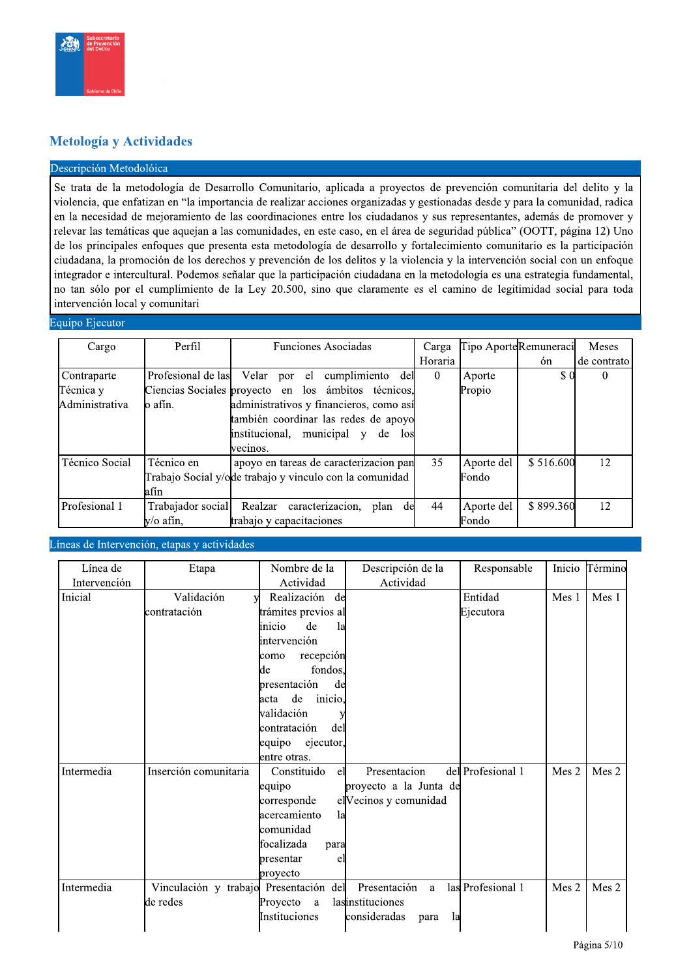

## Metología y Actividades

#### Descripción Metodolóica

Se trata de la metodología de Desarrollo Comunitario, aplicada a proyectos de prevención comunitaria del delito y la violencia, que enfatizan en "la importancia de realizar acciones organizadas y gestionadas desde y para la comunidad, radica en la necesidad de mejoramiento de las coordinaciones entre los ciudadanos y sus representantes, además de promover y relevar las temáticas que aquejan a las comunidades, en este caso, en el área de seguridad pública" (OOTT, página 12) Uno de los principales enfoques que presenta esta metodología de desarrollo y fortalecimiento comunitario es la participación ciudadana, la promoción de los derechos y prevención de los delitos y la violencia y la intervención social con un enfoque integrador e intercultural. Podemos señalar que la participación ciudadana en la metodología es una estrategia fundamental, no tan sólo por el cumplimiento de la Ley 20.500, sino que claramente es el camino de legitimidad social para toda intervención local y comunitari

#### Equipo Ejecutor

| Cargo          | Perfil             | <b>Funciones Asociadas</b>                              | Carga    |            | Tipo AporteRemuneraci       | <b>Meses</b> |
|----------------|--------------------|---------------------------------------------------------|----------|------------|-----------------------------|--------------|
|                |                    |                                                         | Horaria  |            | ón                          | de contrato  |
| Contraparte    | Profesional de las | Velar por el<br>cumplimiento del                        | $\theta$ | Aporte     | $\boldsymbol{\mathsf{S}}$ 0 |              |
| Técnica y      |                    | Ciencias Sociales proyecto en los ámbitos técnicos,     |          | Propio     |                             |              |
| Administrativa | lo afín.           | administrativos y financieros, como así                 |          |            |                             |              |
|                |                    | también coordinar las redes de apoyo                    |          |            |                             |              |
|                |                    | institucional, municipal y de<br>los                    |          |            |                             |              |
|                |                    | vecinos.                                                |          |            |                             |              |
| Técnico Social | Técnico en         | apoyo en tareas de caracterizacion pan                  | 35       | Aporte del | \$516.600                   | 12           |
|                |                    | Trabajo Social y/ode trabajo y vinculo con la comunidad |          | Fondo      |                             |              |
|                | afín               |                                                         |          |            |                             |              |
| Profesional 1  | Trabajador social  | caracterizacion,<br>Realzar<br>plan<br>de               | 44       | Aporte del | \$899.360                   | 12           |
|                | y/o afín,          | trabajo y capacitaciones                                |          | Fondo      |                             |              |

#### Líneas de Intervención, etapas y actividades

| Línea de     | Etapa                                  | Nombre de la          | Descripción de la          | Responsable       | Inicio | Término |
|--------------|----------------------------------------|-----------------------|----------------------------|-------------------|--------|---------|
| Intervención |                                        | Actividad             | Actividad                  |                   |        |         |
| Inicial      | Validación<br>v                        | Realización de        |                            | Entidad           | Mes 1  | Mes 1   |
|              | contratación                           | trámites previos al   |                            | Ejecutora         |        |         |
|              |                                        | de<br>inicio<br>la    |                            |                   |        |         |
|              |                                        | intervención          |                            |                   |        |         |
|              |                                        | recepción<br>como     |                            |                   |        |         |
|              |                                        | de<br>fondos,         |                            |                   |        |         |
|              |                                        | presentación<br>de    |                            |                   |        |         |
|              |                                        | inicio,<br>de<br>acta |                            |                   |        |         |
|              |                                        | validación            |                            |                   |        |         |
|              |                                        | contratación<br>del   |                            |                   |        |         |
|              |                                        | equipo<br>ejecutor,   |                            |                   |        |         |
|              |                                        | entre otras.          |                            |                   |        |         |
| Intermedia   | Inserción comunitaria                  | Constituido<br>el     | Presentacion               | del Profesional 1 | Mes 2  | Mes 2   |
|              |                                        | equipo                | proyecto a la Junta de     |                   |        |         |
|              |                                        | corresponde           | el Vecinos y comunidad     |                   |        |         |
|              |                                        | acercamiento<br>la    |                            |                   |        |         |
|              |                                        | comunidad             |                            |                   |        |         |
|              |                                        | focalizada<br>para    |                            |                   |        |         |
|              |                                        | bresentar<br>e.       |                            |                   |        |         |
|              |                                        | proyecto              |                            |                   |        |         |
| Intermedia   | Vinculación y trabajo Presentación del |                       | Presentación<br>a          | las Profesional 1 | Mes 2  | Mes 2   |
|              | de redes                               | Proyecto<br>$\rm{a}$  | lasinstituciones           |                   |        |         |
|              |                                        | Instituciones         | consideradas<br>la<br>para |                   |        |         |
|              |                                        |                       |                            |                   |        |         |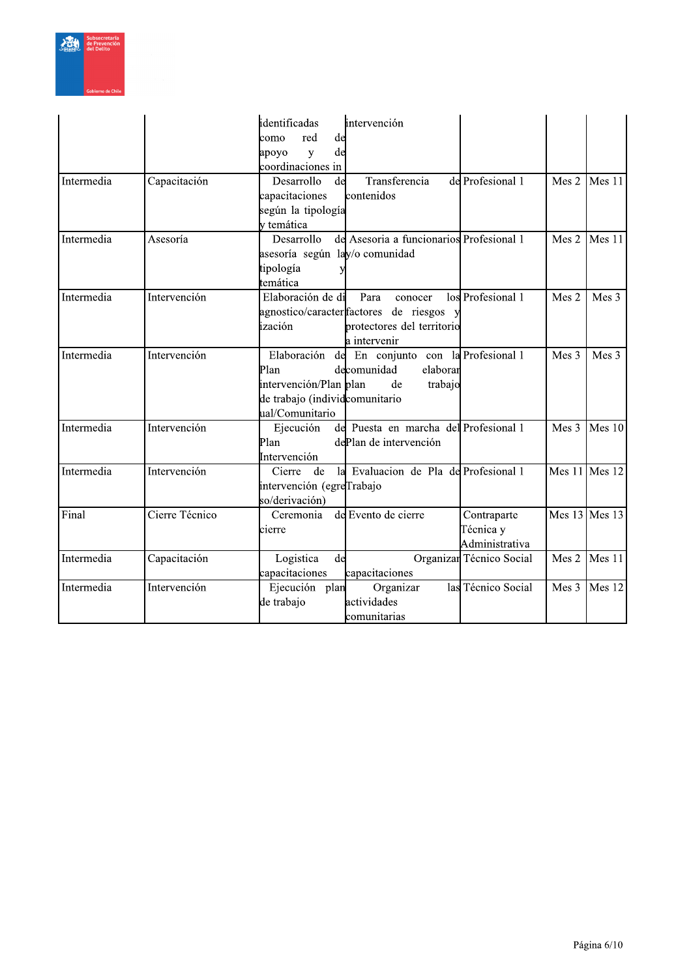

|            |                | identificadas<br>intervención                             |                   |
|------------|----------------|-----------------------------------------------------------|-------------------|
|            |                | red<br>de<br>como                                         |                   |
|            |                | de<br>y<br>apoyo                                          |                   |
|            |                | coordinaciones in                                         |                   |
| Intermedia | Capacitación   | Transferencia<br>Desarrollo<br>de<br>de Profesional 1     | Mes $2$<br>Mes 11 |
|            |                | capacitaciones<br>contenidos                              |                   |
|            |                | según la tipología                                        |                   |
|            |                | y temática                                                |                   |
| Intermedia | Asesoría       | Desarrollo<br>del Asesoria a funcionarios Profesional 1   | Mes 2<br>Mes 11   |
|            |                | asesoría según lay/o comunidad                            |                   |
|            |                | tipología                                                 |                   |
|            |                | temática                                                  |                   |
| Intermedia | Intervención   | Elaboración de di<br>los Profesional 1<br>Para<br>conocer | Mes 2<br>Mes 3    |
|            |                | agnostico/caracter factores de riesgos y                  |                   |
|            |                | ización<br>protectores del territorio                     |                   |
|            |                | la intervenir                                             |                   |
| Intermedia | Intervención   | Elaboración de En conjunto con la Profesional 1           | Mes 3<br>Mes 3    |
|            |                | Plan<br>decomunidad<br>elaborar                           |                   |
|            |                | intervención/Plan plan<br>trabajo<br>de                   |                   |
|            |                | de trabajo (individcomunitario                            |                   |
|            |                | ual/Comunitario                                           |                   |
| Intermedia | Intervención   | Ejecución<br>de Puesta en marcha del Profesional 1        | Mes 3<br>Mes 10   |
|            |                | Plan<br>dePlan de intervención                            |                   |
|            |                | Intervención                                              |                   |
| Intermedia | Intervención   | la Evaluacion de Pla de Profesional 1<br>Cierre<br>de     | Mes $11$ Mes $12$ |
|            |                | intervención (egreTrabajo                                 |                   |
|            |                | so/derivación)                                            |                   |
| Final      | Cierre Técnico | de Evento de cierre<br>Ceremonia<br>Contraparte           | Mes $13$ Mes 13   |
|            |                | Técnica y<br>cierre                                       |                   |
|            |                | Administrativa                                            |                   |
| Intermedia | Capacitación   | Logistica<br>de<br>Organizar Técnico Social               | Mes $2$<br>Mes 11 |
|            |                | capacitaciones<br>capacitaciones                          |                   |
| Intermedia | Intervención   | Ejecución plan<br>Organizar<br>las Técnico Social         | Mes 3<br>Mes 12   |
|            |                | actividades<br>de trabajo                                 |                   |
|            |                | comunitarias                                              |                   |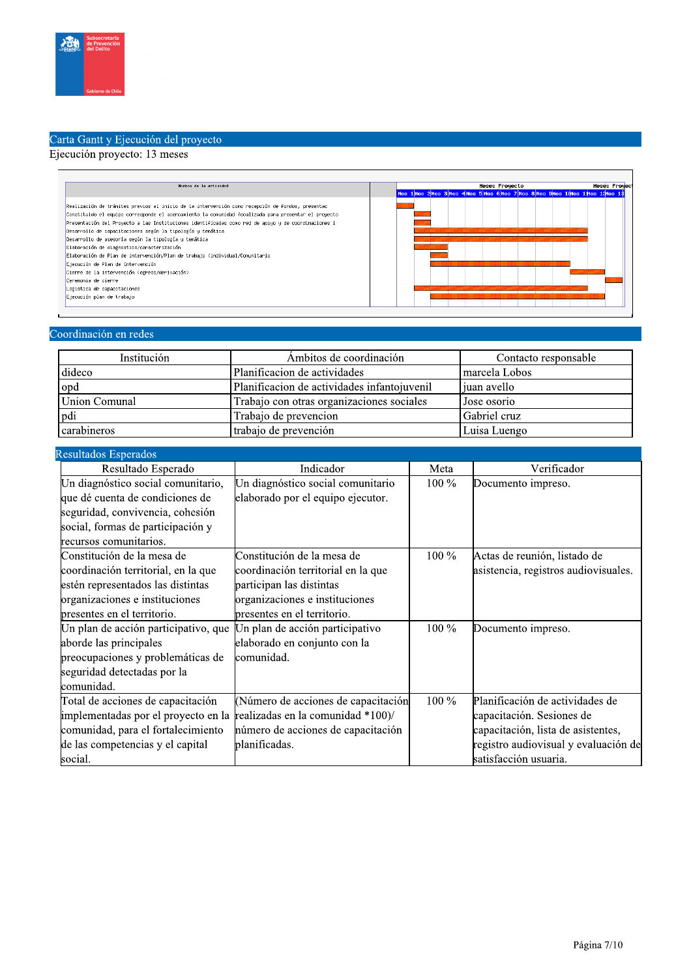

# Carta Gantt y Ejecución del proyecto

# Ejecución proyecto: 13 meses

| Nombre de la actividad                                                                               |  |                                                                                   |  | <b>Heses Proyecto</b> |  |  |  | <b>Heses Proyect</b> |
|------------------------------------------------------------------------------------------------------|--|-----------------------------------------------------------------------------------|--|-----------------------|--|--|--|----------------------|
|                                                                                                      |  | Hes 1 Hes 2 Hes 3 Hes 4 Hes 5 Hes 6 Hes 7 Hes 8 Hes 9 Hes 1 Hes 1 Hes 1 2 Hes 1 3 |  |                       |  |  |  |                      |
| Realización de trámites previos al inicio de la intervención como recepción de fondos, presentac     |  |                                                                                   |  |                       |  |  |  |                      |
| Constituido el equipo corresponde el acercamiento la comunidad focalizada para presentar el proyecto |  |                                                                                   |  |                       |  |  |  |                      |
| Presentación del Proyecto a las Instituciones identificadas como red de apoyo y de coordinaciones i  |  |                                                                                   |  |                       |  |  |  |                      |
| Desarrollo de capacitaciones según la tipología y temática                                           |  |                                                                                   |  |                       |  |  |  |                      |
| Desarrollo de asesoría según la tipología y temática                                                 |  |                                                                                   |  |                       |  |  |  |                      |
| Elaboración de diagnostico/caracterización                                                           |  |                                                                                   |  |                       |  |  |  |                      |
| Elaboración de Plan de intervención/Plan de trabajo (individual/Comunitario                          |  |                                                                                   |  |                       |  |  |  |                      |
| Ejecución de Plan de Intervención                                                                    |  |                                                                                   |  |                       |  |  |  |                      |
| Cierre de la intervención (egreso/derivación)                                                        |  |                                                                                   |  |                       |  |  |  |                      |
| Ceremonia de cierre                                                                                  |  |                                                                                   |  |                       |  |  |  |                      |
| Logistica de capacitaciones                                                                          |  |                                                                                   |  |                       |  |  |  |                      |
| Ejecución plan de trabajo                                                                            |  |                                                                                   |  |                       |  |  |  |                      |

# Coordinación en redes

| Institución   | Ambitos de coordinación                     | Contacto responsable |
|---------------|---------------------------------------------|----------------------|
| dideco        | Planificacion de actividades                | marcela Lobos        |
| opd           | Planificacion de actividades infantojuvenil | juan avello          |
| Union Comunal | Trabajo con otras organizaciones sociales   | Jose osorio          |
| pdi           | Trabajo de prevencion                       | Gabriel cruz         |
| carabineros   | trabajo de prevención                       | Luisa Luengo         |

| Resultados Esperados                 |                                     |         |                                      |
|--------------------------------------|-------------------------------------|---------|--------------------------------------|
| Resultado Esperado                   | Indicador                           | Meta    | Verificador                          |
| Un diagnóstico social comunitario,   | Un diagnóstico social comunitario   | 100 %   | Documento impreso.                   |
| que dé cuenta de condiciones de      | elaborado por el equipo ejecutor.   |         |                                      |
| seguridad, convivencia, cohesión     |                                     |         |                                      |
| social, formas de participación y    |                                     |         |                                      |
| recursos comunitarios.               |                                     |         |                                      |
| Constitución de la mesa de           | Constitución de la mesa de          | $100\%$ | Actas de reunión, listado de         |
| coordinación territorial, en la que  | coordinación territorial en la que  |         | asistencia, registros audiovisuales. |
| estén representados las distintas    | participan las distintas            |         |                                      |
| organizaciones e instituciones       | organizaciones e instituciones      |         |                                      |
| presentes en el territorio.          | presentes en el territorio.         |         |                                      |
| Un plan de acción participativo, que | Un plan de acción participativo     | $100\%$ | Documento impreso.                   |
| aborde las principales               | elaborado en conjunto con la        |         |                                      |
| preocupaciones y problemáticas de    | comunidad.                          |         |                                      |
| seguridad detectadas por la          |                                     |         |                                      |
| comunidad.                           |                                     |         |                                      |
| Total de acciones de capacitación    | (Número de acciones de capacitación | 100 %   | Planificación de actividades de      |
| implementadas por el proyecto en la  | realizadas en la comunidad *100)/   |         | capacitación. Sesiones de            |
| comunidad, para el fortalecimiento   | número de acciones de capacitación  |         | capacitación, lista de asistentes,   |
| de las competencias y el capital     | planificadas.                       |         | registro audiovisual y evaluación de |
| social.                              |                                     |         | satisfacción usuaria.                |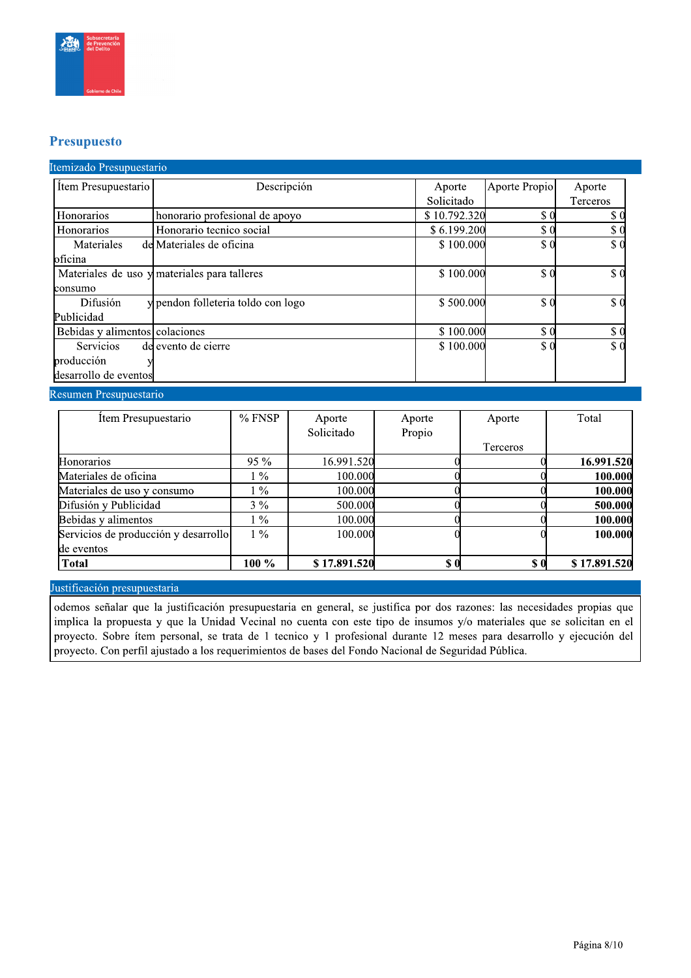

## **Presupuesto**

### Itemizado Presupuestario

| Item Presupuestario            | Descripción                                  | Aporte       | Aporte Propio | Aporte      |
|--------------------------------|----------------------------------------------|--------------|---------------|-------------|
|                                |                                              | Solicitado   |               | Terceros    |
| Honorarios                     | honorario profesional de apoyo               | \$10.792.320 | \$0           | \$0         |
| Honorarios                     | Honorario tecnico social                     | \$6.199.200  | \$0           | \$0         |
| Materiales                     | del Materiales de oficina                    | \$100.000    | \$0           | $\sqrt{3}0$ |
| oficina                        |                                              |              |               |             |
|                                | Materiales de uso y materiales para talleres | \$100.000    | \$0           | \$0         |
| lconsumo                       |                                              |              |               |             |
| Difusión                       | y pendon folleteria toldo con logo           | \$500.000    | \$0           | \$0         |
| Publicidad                     |                                              |              |               |             |
| Bebidas y alimentos colaciones |                                              | \$100.000    | \$0           | \$0         |
| Servicios                      | de evento de cierre                          | \$100.000    | \$0           | \$0         |
| producción                     |                                              |              |               |             |
| desarrollo de eventos          |                                              |              |               |             |

#### Resumen Presupuestario

| Item Presupuestario                  | $%$ FNSP | Aporte       | Aporte | Aporte             | Total        |
|--------------------------------------|----------|--------------|--------|--------------------|--------------|
|                                      |          | Solicitado   | Propio |                    |              |
|                                      |          |              |        | Terceros           |              |
| <b>Honorarios</b>                    | $95\%$   | 16.991.520   |        |                    | 16.991.520   |
| Materiales de oficina                | $1\%$    | 100.000      |        |                    | 100.000      |
| Materiales de uso y consumo          | $1\%$    | 100.000      |        |                    | 100.000      |
| Difusión y Publicidad                | $3\%$    | 500.000      |        |                    | 500.000      |
| Bebidas y alimentos                  | $1\%$    | 100.000      |        |                    | 100.000      |
| Servicios de producción y desarrollo | $1\%$    | 100.000      |        |                    | 100.000      |
| de eventos                           |          |              |        |                    |              |
| <b>Total</b>                         | $100 \%$ | \$17.891.520 | \$0    | $\boldsymbol{s}$ 0 | \$17.891.520 |

#### Justificación presupuestaria

odemos señalar que la justificación presupuestaria en general, se justifica por dos razones: las necesidades propias que implica la propuesta y que la Unidad Vecinal no cuenta con este tipo de insumos y/o materiales que se solicitan en el proyecto. Sobre ítem personal, se trata de 1 tecnico y 1 profesional durante 12 meses para desarrollo y ejecución del proyecto. Con perfil ajustado a los requerimientos de bases del Fondo Nacional de Seguridad Pública.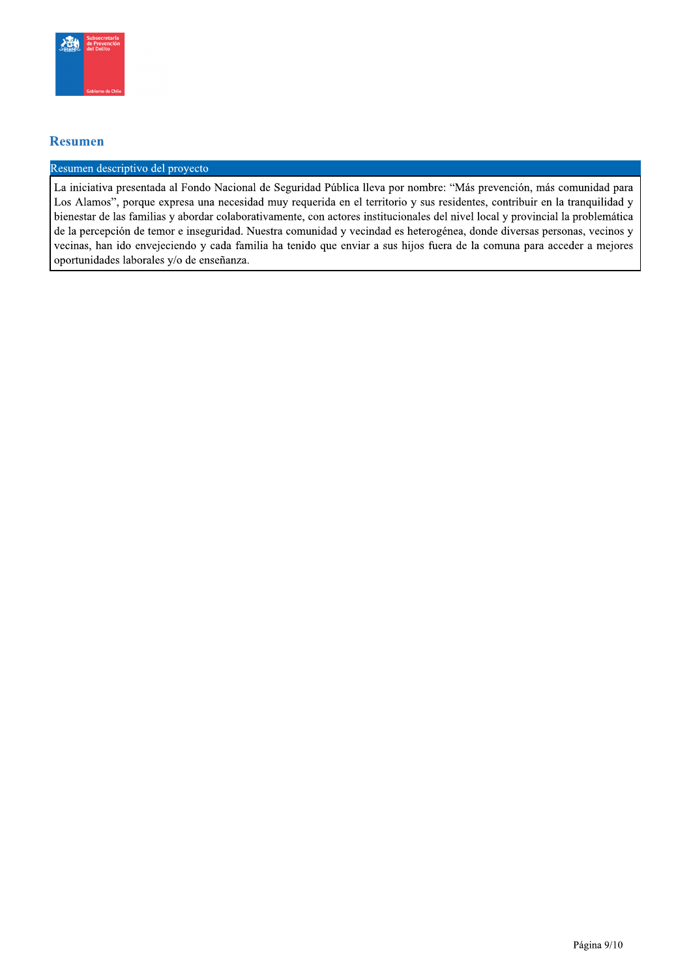

### **Resumen**

#### Resumen descriptivo del proyecto

La iniciativa presentada al Fondo Nacional de Seguridad Pública lleva por nombre: "Más prevención, más comunidad para Los Alamos", porque expresa una necesidad muy requerida en el territorio y sus residentes, contribuir en la tranquilidad y bienestar de las familias y abordar colaborativamente, con actores institucionales del nivel local y provincial la problemática de la percepción de temor e inseguridad. Nuestra comunidad y vecindad es heterogénea, donde diversas personas, vecinos y vecinas, han ido envejeciendo y cada familia ha tenido que enviar a sus hijos fuera de la comuna para acceder a mejores oportunidades laborales y/o de enseñanza.